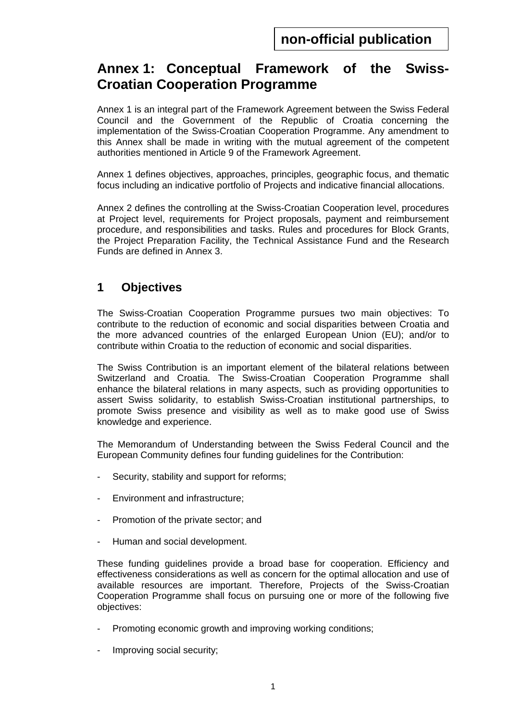# **Annex 1: Conceptual Framework of the Swiss-Croatian Cooperation Programme**

Annex 1 is an integral part of the Framework Agreement between the Swiss Federal Council and the Government of the Republic of Croatia concerning the implementation of the Swiss-Croatian Cooperation Programme. Any amendment to this Annex shall be made in writing with the mutual agreement of the competent authorities mentioned in Article 9 of the Framework Agreement.

Annex 1 defines objectives, approaches, principles, geographic focus, and thematic focus including an indicative portfolio of Projects and indicative financial allocations.

Annex 2 defines the controlling at the Swiss-Croatian Cooperation level, procedures at Project level, requirements for Project proposals, payment and reimbursement procedure, and responsibilities and tasks. Rules and procedures for Block Grants, the Project Preparation Facility, the Technical Assistance Fund and the Research Funds are defined in Annex 3.

# **1 Objectives**

The Swiss-Croatian Cooperation Programme pursues two main objectives: To contribute to the reduction of economic and social disparities between Croatia and the more advanced countries of the enlarged European Union (EU); and/or to contribute within Croatia to the reduction of economic and social disparities.

The Swiss Contribution is an important element of the bilateral relations between Switzerland and Croatia. The Swiss-Croatian Cooperation Programme shall enhance the bilateral relations in many aspects, such as providing opportunities to assert Swiss solidarity, to establish Swiss-Croatian institutional partnerships, to promote Swiss presence and visibility as well as to make good use of Swiss knowledge and experience.

The Memorandum of Understanding between the Swiss Federal Council and the European Community defines four funding guidelines for the Contribution:

- Security, stability and support for reforms;
- Environment and infrastructure;
- Promotion of the private sector; and
- Human and social development.

These funding guidelines provide a broad base for cooperation. Efficiency and effectiveness considerations as well as concern for the optimal allocation and use of available resources are important. Therefore, Projects of the Swiss-Croatian Cooperation Programme shall focus on pursuing one or more of the following five objectives:

- Promoting economic growth and improving working conditions;
- Improving social security;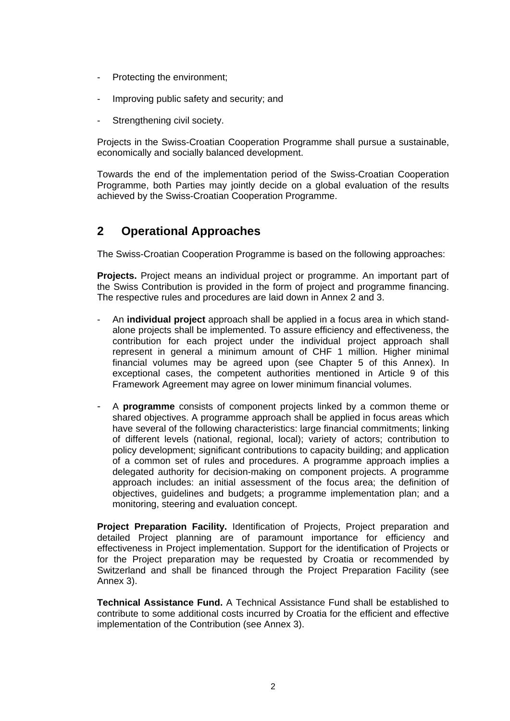- Protecting the environment;
- Improving public safety and security; and
- Strengthening civil society.

Projects in the Swiss-Croatian Cooperation Programme shall pursue a sustainable, economically and socially balanced development.

Towards the end of the implementation period of the Swiss-Croatian Cooperation Programme, both Parties may jointly decide on a global evaluation of the results achieved by the Swiss-Croatian Cooperation Programme.

# **2 Operational Approaches**

The Swiss-Croatian Cooperation Programme is based on the following approaches:

**Projects.** Project means an individual project or programme. An important part of the Swiss Contribution is provided in the form of project and programme financing. The respective rules and procedures are laid down in Annex 2 and 3.

- An **individual project** approach shall be applied in a focus area in which standalone projects shall be implemented. To assure efficiency and effectiveness, the contribution for each project under the individual project approach shall represent in general a minimum amount of CHF 1 million. Higher minimal financial volumes may be agreed upon (see Chapter 5 of this Annex). In exceptional cases, the competent authorities mentioned in Article 9 of this Framework Agreement may agree on lower minimum financial volumes.
- A **programme** consists of component projects linked by a common theme or shared objectives. A programme approach shall be applied in focus areas which have several of the following characteristics: large financial commitments; linking of different levels (national, regional, local); variety of actors; contribution to policy development; significant contributions to capacity building; and application of a common set of rules and procedures. A programme approach implies a delegated authority for decision-making on component projects. A programme approach includes: an initial assessment of the focus area; the definition of objectives, guidelines and budgets; a programme implementation plan; and a monitoring, steering and evaluation concept.

Project Preparation Facility. Identification of Projects, Project preparation and detailed Project planning are of paramount importance for efficiency and effectiveness in Project implementation. Support for the identification of Projects or for the Project preparation may be requested by Croatia or recommended by Switzerland and shall be financed through the Project Preparation Facility (see Annex 3).

**Technical Assistance Fund.** A Technical Assistance Fund shall be established to contribute to some additional costs incurred by Croatia for the efficient and effective implementation of the Contribution (see Annex 3).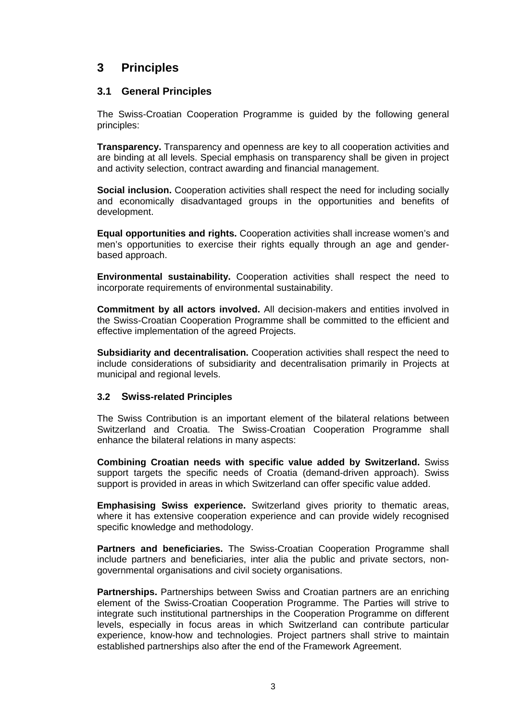# **3 Principles**

#### **3.1 General Principles**

The Swiss-Croatian Cooperation Programme is guided by the following general principles:

**Transparency.** Transparency and openness are key to all cooperation activities and are binding at all levels. Special emphasis on transparency shall be given in project and activity selection, contract awarding and financial management.

**Social inclusion.** Cooperation activities shall respect the need for including socially and economically disadvantaged groups in the opportunities and benefits of development.

**Equal opportunities and rights.** Cooperation activities shall increase women's and men's opportunities to exercise their rights equally through an age and genderbased approach.

**Environmental sustainability.** Cooperation activities shall respect the need to incorporate requirements of environmental sustainability.

**Commitment by all actors involved.** All decision-makers and entities involved in the Swiss-Croatian Cooperation Programme shall be committed to the efficient and effective implementation of the agreed Projects.

**Subsidiarity and decentralisation.** Cooperation activities shall respect the need to include considerations of subsidiarity and decentralisation primarily in Projects at municipal and regional levels.

#### **3.2 Swiss-related Principles**

The Swiss Contribution is an important element of the bilateral relations between Switzerland and Croatia. The Swiss-Croatian Cooperation Programme shall enhance the bilateral relations in many aspects:

**Combining Croatian needs with specific value added by Switzerland.** Swiss support targets the specific needs of Croatia (demand-driven approach). Swiss support is provided in areas in which Switzerland can offer specific value added.

**Emphasising Swiss experience.** Switzerland gives priority to thematic areas, where it has extensive cooperation experience and can provide widely recognised specific knowledge and methodology.

**Partners and beneficiaries.** The Swiss-Croatian Cooperation Programme shall include partners and beneficiaries, inter alia the public and private sectors, nongovernmental organisations and civil society organisations.

**Partnerships.** Partnerships between Swiss and Croatian partners are an enriching element of the Swiss-Croatian Cooperation Programme. The Parties will strive to integrate such institutional partnerships in the Cooperation Programme on different levels, especially in focus areas in which Switzerland can contribute particular experience, know-how and technologies. Project partners shall strive to maintain established partnerships also after the end of the Framework Agreement.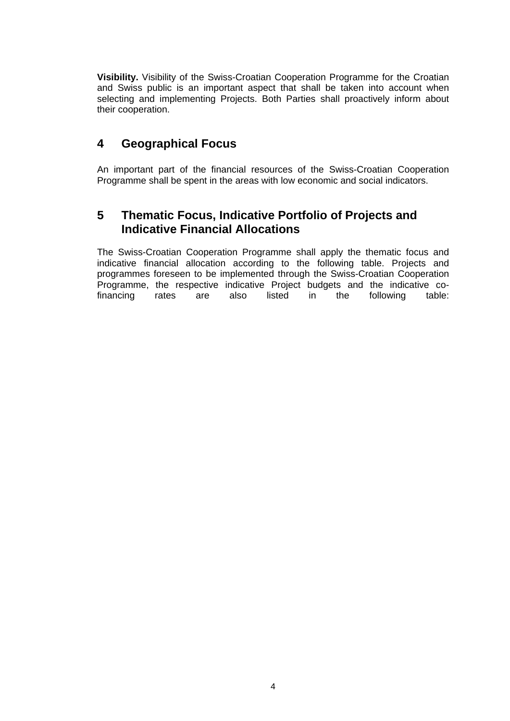**Visibility.** Visibility of the Swiss-Croatian Cooperation Programme for the Croatian and Swiss public is an important aspect that shall be taken into account when selecting and implementing Projects. Both Parties shall proactively inform about their cooperation.

# **4 Geographical Focus**

An important part of the financial resources of the Swiss-Croatian Cooperation Programme shall be spent in the areas with low economic and social indicators.

# **5 Thematic Focus, Indicative Portfolio of Projects and Indicative Financial Allocations**

The Swiss-Croatian Cooperation Programme shall apply the thematic focus and indicative financial allocation according to the following table. Projects and programmes foreseen to be implemented through the Swiss-Croatian Cooperation Programme, the respective indicative Project budgets and the indicative cofinancing rates are also listed in the following table: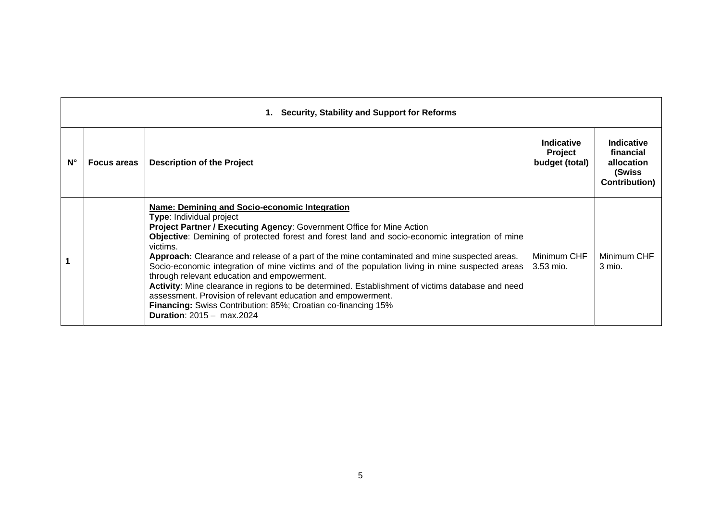|                    | <b>Security, Stability and Support for Reforms</b><br>1. |                                                                                                                                                                                                                                                                                                                                                                                                                                                                                                                                                                                                                                                                                                                                                                                                             |                                                |                                                                         |  |  |  |
|--------------------|----------------------------------------------------------|-------------------------------------------------------------------------------------------------------------------------------------------------------------------------------------------------------------------------------------------------------------------------------------------------------------------------------------------------------------------------------------------------------------------------------------------------------------------------------------------------------------------------------------------------------------------------------------------------------------------------------------------------------------------------------------------------------------------------------------------------------------------------------------------------------------|------------------------------------------------|-------------------------------------------------------------------------|--|--|--|
| $\mathsf{N}^\circ$ | <b>Focus areas</b>                                       | <b>Description of the Project</b>                                                                                                                                                                                                                                                                                                                                                                                                                                                                                                                                                                                                                                                                                                                                                                           | <b>Indicative</b><br>Project<br>budget (total) | Indicative<br>financial<br>allocation<br>(Swiss<br><b>Contribution)</b> |  |  |  |
|                    |                                                          | Name: Demining and Socio-economic Integration<br>Type: Individual project<br>Project Partner / Executing Agency: Government Office for Mine Action<br><b>Objective:</b> Demining of protected forest and forest land and socio-economic integration of mine<br>victims.<br>Approach: Clearance and release of a part of the mine contaminated and mine suspected areas.<br>Socio-economic integration of mine victims and of the population living in mine suspected areas<br>through relevant education and empowerment.<br>Activity: Mine clearance in regions to be determined. Establishment of victims database and need<br>assessment. Provision of relevant education and empowerment.<br>Financing: Swiss Contribution: 85%; Croatian co-financing 15%<br><b>Duration:</b> $2015 - \text{max}.2024$ | Minimum CHF<br>$3.53$ mio.                     | Minimum CHF<br>3 mio.                                                   |  |  |  |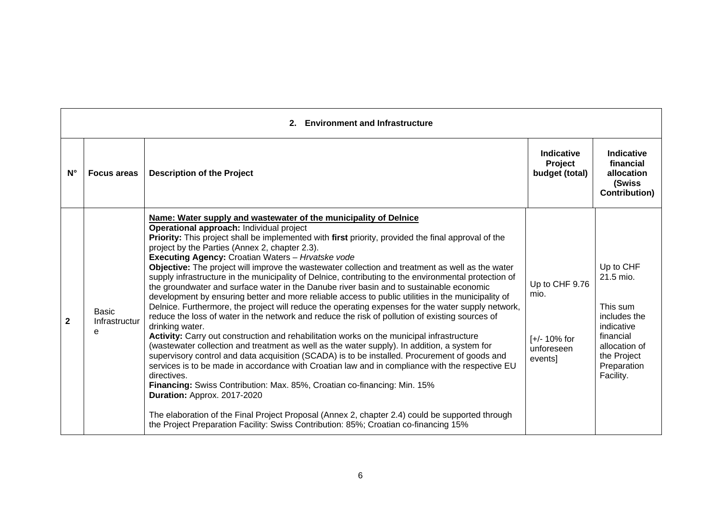|              | <b>Environment and Infrastructure</b> |                                                                                                                                                                                                                                                                                                                                                                                                                                                                                                                                                                                                                                                                                                                                                                                                                                                                                                                                                                                                                                                                                                                                                                                                                                                                                                                                                                                                                                                                                                                                                                                                                                                                                            |                                                                   |                                                                                                                                           |  |  |
|--------------|---------------------------------------|--------------------------------------------------------------------------------------------------------------------------------------------------------------------------------------------------------------------------------------------------------------------------------------------------------------------------------------------------------------------------------------------------------------------------------------------------------------------------------------------------------------------------------------------------------------------------------------------------------------------------------------------------------------------------------------------------------------------------------------------------------------------------------------------------------------------------------------------------------------------------------------------------------------------------------------------------------------------------------------------------------------------------------------------------------------------------------------------------------------------------------------------------------------------------------------------------------------------------------------------------------------------------------------------------------------------------------------------------------------------------------------------------------------------------------------------------------------------------------------------------------------------------------------------------------------------------------------------------------------------------------------------------------------------------------------------|-------------------------------------------------------------------|-------------------------------------------------------------------------------------------------------------------------------------------|--|--|
| $N^{\circ}$  | <b>Focus areas</b>                    | <b>Description of the Project</b>                                                                                                                                                                                                                                                                                                                                                                                                                                                                                                                                                                                                                                                                                                                                                                                                                                                                                                                                                                                                                                                                                                                                                                                                                                                                                                                                                                                                                                                                                                                                                                                                                                                          | Indicative<br>Project<br>budget (total)                           | Indicative<br>financial<br>allocation<br>(Swiss<br><b>Contribution</b> )                                                                  |  |  |
| $\mathbf{2}$ | Basic<br>Infrastructur<br>e           | Name: Water supply and wastewater of the municipality of Delnice<br>Operational approach: Individual project<br>Priority: This project shall be implemented with first priority, provided the final approval of the<br>project by the Parties (Annex 2, chapter 2.3).<br>Executing Agency: Croatian Waters - Hrvatske vode<br>Objective: The project will improve the wastewater collection and treatment as well as the water<br>supply infrastructure in the municipality of Delnice, contributing to the environmental protection of<br>the groundwater and surface water in the Danube river basin and to sustainable economic<br>development by ensuring better and more reliable access to public utilities in the municipality of<br>Delnice. Furthermore, the project will reduce the operating expenses for the water supply network,<br>reduce the loss of water in the network and reduce the risk of pollution of existing sources of<br>drinking water.<br>Activity: Carry out construction and rehabilitation works on the municipal infrastructure<br>(wastewater collection and treatment as well as the water supply). In addition, a system for<br>supervisory control and data acquisition (SCADA) is to be installed. Procurement of goods and<br>services is to be made in accordance with Croatian law and in compliance with the respective EU<br>directives.<br>Financing: Swiss Contribution: Max. 85%, Croatian co-financing: Min. 15%<br>Duration: Approx. 2017-2020<br>The elaboration of the Final Project Proposal (Annex 2, chapter 2.4) could be supported through<br>the Project Preparation Facility: Swiss Contribution: 85%; Croatian co-financing 15% | Up to CHF 9.76<br>mio.<br>$[+/ 10\%$ for<br>unforeseen<br>events] | Up to CHF<br>21.5 mio.<br>This sum<br>includes the<br>indicative<br>financial<br>allocation of<br>the Project<br>Preparation<br>Facility. |  |  |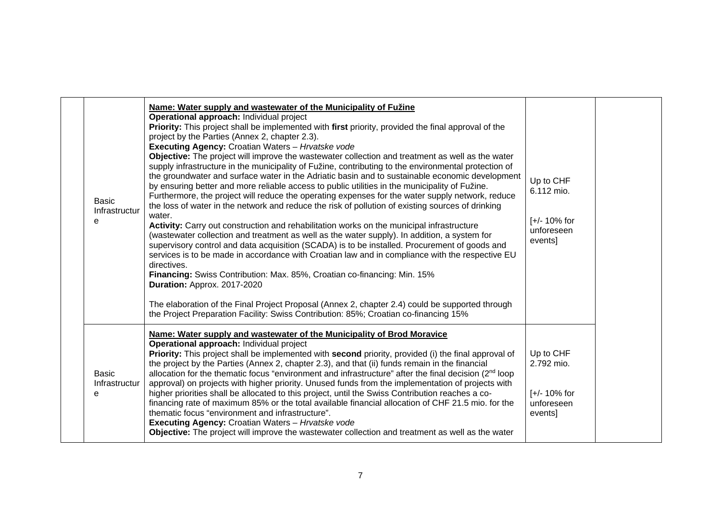| <b>Basic</b><br>Infrastructur<br>e | Name: Water supply and wastewater of the Municipality of Fužine<br>Operational approach: Individual project<br>Priority: This project shall be implemented with first priority, provided the final approval of the<br>project by the Parties (Annex 2, chapter 2.3).<br>Executing Agency: Croatian Waters - Hrvatske vode<br>Objective: The project will improve the wastewater collection and treatment as well as the water<br>supply infrastructure in the municipality of Fužine, contributing to the environmental protection of<br>the groundwater and surface water in the Adriatic basin and to sustainable economic development<br>by ensuring better and more reliable access to public utilities in the municipality of Fužine.<br>Furthermore, the project will reduce the operating expenses for the water supply network, reduce<br>the loss of water in the network and reduce the risk of pollution of existing sources of drinking<br>water.<br>Activity: Carry out construction and rehabilitation works on the municipal infrastructure<br>(wastewater collection and treatment as well as the water supply). In addition, a system for<br>supervisory control and data acquisition (SCADA) is to be installed. Procurement of goods and<br>services is to be made in accordance with Croatian law and in compliance with the respective EU<br>directives.<br>Financing: Swiss Contribution: Max. 85%, Croatian co-financing: Min. 15%<br>Duration: Approx. 2017-2020<br>The elaboration of the Final Project Proposal (Annex 2, chapter 2.4) could be supported through<br>the Project Preparation Facility: Swiss Contribution: 85%; Croatian co-financing 15% | Up to CHF<br>6.112 mio.<br>$[-/2 10\%$ for<br>unforeseen<br>events] |  |
|------------------------------------|-------------------------------------------------------------------------------------------------------------------------------------------------------------------------------------------------------------------------------------------------------------------------------------------------------------------------------------------------------------------------------------------------------------------------------------------------------------------------------------------------------------------------------------------------------------------------------------------------------------------------------------------------------------------------------------------------------------------------------------------------------------------------------------------------------------------------------------------------------------------------------------------------------------------------------------------------------------------------------------------------------------------------------------------------------------------------------------------------------------------------------------------------------------------------------------------------------------------------------------------------------------------------------------------------------------------------------------------------------------------------------------------------------------------------------------------------------------------------------------------------------------------------------------------------------------------------------------------------------------------------------------------------------------------------------------|---------------------------------------------------------------------|--|
| <b>Basic</b><br>Infrastructur<br>e | Name: Water supply and wastewater of the Municipality of Brod Moravice<br>Operational approach: Individual project<br>Priority: This project shall be implemented with second priority, provided (i) the final approval of<br>the project by the Parties (Annex 2, chapter 2.3), and that (ii) funds remain in the financial<br>allocation for the thematic focus "environment and infrastructure" after the final decision (2 <sup>nd</sup> loop)<br>approval) on projects with higher priority. Unused funds from the implementation of projects with<br>higher priorities shall be allocated to this project, until the Swiss Contribution reaches a co-<br>financing rate of maximum 85% or the total available financial allocation of CHF 21.5 mio. for the<br>thematic focus "environment and infrastructure".<br><b>Executing Agency: Croatian Waters - Hrvatske vode</b><br>Objective: The project will improve the wastewater collection and treatment as well as the water                                                                                                                                                                                                                                                                                                                                                                                                                                                                                                                                                                                                                                                                                               | Up to CHF<br>2.792 mio.<br>$[-/2 10\%$ for<br>unforeseen<br>events] |  |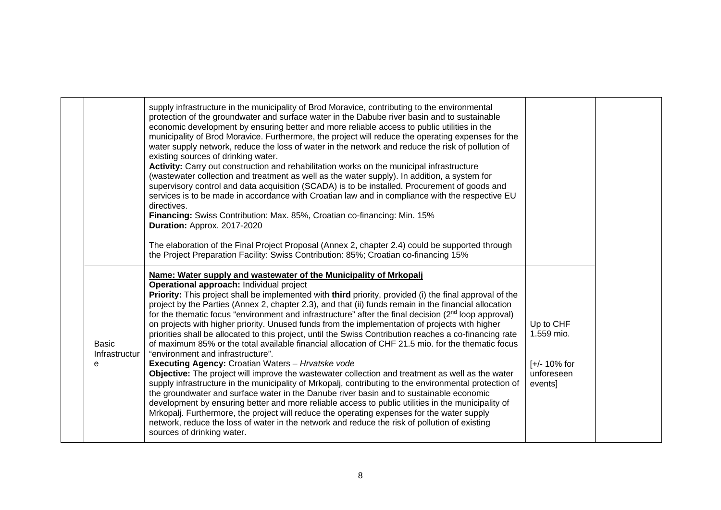|                             | supply infrastructure in the municipality of Brod Moravice, contributing to the environmental<br>protection of the groundwater and surface water in the Dabube river basin and to sustainable<br>economic development by ensuring better and more reliable access to public utilities in the<br>municipality of Brod Moravice. Furthermore, the project will reduce the operating expenses for the<br>water supply network, reduce the loss of water in the network and reduce the risk of pollution of<br>existing sources of drinking water.<br>Activity: Carry out construction and rehabilitation works on the municipal infrastructure<br>(wastewater collection and treatment as well as the water supply). In addition, a system for<br>supervisory control and data acquisition (SCADA) is to be installed. Procurement of goods and<br>services is to be made in accordance with Croatian law and in compliance with the respective EU<br>directives.<br>Financing: Swiss Contribution: Max. 85%, Croatian co-financing: Min. 15%<br>Duration: Approx. 2017-2020<br>The elaboration of the Final Project Proposal (Annex 2, chapter 2.4) could be supported through<br>the Project Preparation Facility: Swiss Contribution: 85%; Croatian co-financing 15%                                                                                                                                                                                                                                               |                                                                     |
|-----------------------------|--------------------------------------------------------------------------------------------------------------------------------------------------------------------------------------------------------------------------------------------------------------------------------------------------------------------------------------------------------------------------------------------------------------------------------------------------------------------------------------------------------------------------------------------------------------------------------------------------------------------------------------------------------------------------------------------------------------------------------------------------------------------------------------------------------------------------------------------------------------------------------------------------------------------------------------------------------------------------------------------------------------------------------------------------------------------------------------------------------------------------------------------------------------------------------------------------------------------------------------------------------------------------------------------------------------------------------------------------------------------------------------------------------------------------------------------------------------------------------------------------------------------|---------------------------------------------------------------------|
| Basic<br>Infrastructur<br>e | Name: Water supply and wastewater of the Municipality of Mrkopalj<br>Operational approach: Individual project<br><b>Priority:</b> This project shall be implemented with third priority, provided (i) the final approval of the<br>project by the Parties (Annex 2, chapter 2.3), and that (ii) funds remain in the financial allocation<br>for the thematic focus "environment and infrastructure" after the final decision $(2nd$ loop approval)<br>on projects with higher priority. Unused funds from the implementation of projects with higher<br>priorities shall be allocated to this project, until the Swiss Contribution reaches a co-financing rate<br>of maximum 85% or the total available financial allocation of CHF 21.5 mio. for the thematic focus<br>"environment and infrastructure".<br><b>Executing Agency: Croatian Waters - Hrvatske vode</b><br>Objective: The project will improve the wastewater collection and treatment as well as the water<br>supply infrastructure in the municipality of Mrkopalj, contributing to the environmental protection of<br>the groundwater and surface water in the Danube river basin and to sustainable economic<br>development by ensuring better and more reliable access to public utilities in the municipality of<br>Mrkopalj. Furthermore, the project will reduce the operating expenses for the water supply<br>network, reduce the loss of water in the network and reduce the risk of pollution of existing<br>sources of drinking water. | Up to CHF<br>1.559 mio.<br>$[-/2 10\%$ for<br>unforeseen<br>events] |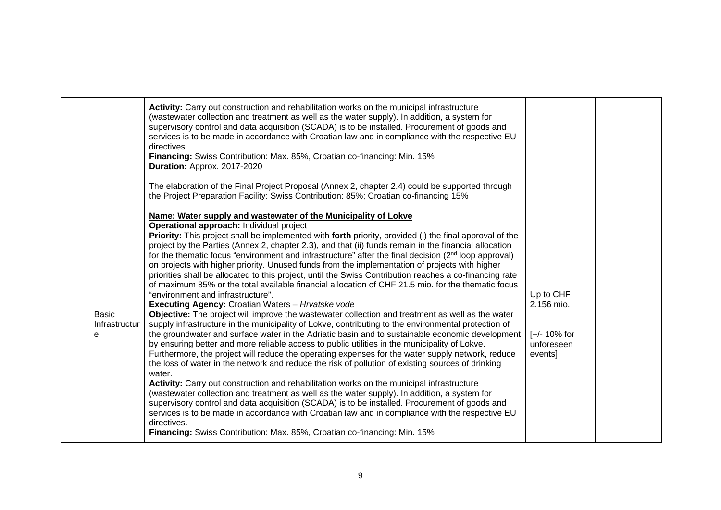|                                    | Activity: Carry out construction and rehabilitation works on the municipal infrastructure<br>(wastewater collection and treatment as well as the water supply). In addition, a system for<br>supervisory control and data acquisition (SCADA) is to be installed. Procurement of goods and<br>services is to be made in accordance with Croatian law and in compliance with the respective EU<br>directives.<br>Financing: Swiss Contribution: Max. 85%, Croatian co-financing: Min. 15%<br>Duration: Approx. 2017-2020<br>The elaboration of the Final Project Proposal (Annex 2, chapter 2.4) could be supported through<br>the Project Preparation Facility: Swiss Contribution: 85%; Croatian co-financing 15%                                                                                                                                                                                                                                                                                                                                                                                                                                                                                                                                                                                                                                                                                                                                                                                                                                                                                                                                                                                                                                                                                                                                                                                                                                                                         |                                                                  |  |
|------------------------------------|--------------------------------------------------------------------------------------------------------------------------------------------------------------------------------------------------------------------------------------------------------------------------------------------------------------------------------------------------------------------------------------------------------------------------------------------------------------------------------------------------------------------------------------------------------------------------------------------------------------------------------------------------------------------------------------------------------------------------------------------------------------------------------------------------------------------------------------------------------------------------------------------------------------------------------------------------------------------------------------------------------------------------------------------------------------------------------------------------------------------------------------------------------------------------------------------------------------------------------------------------------------------------------------------------------------------------------------------------------------------------------------------------------------------------------------------------------------------------------------------------------------------------------------------------------------------------------------------------------------------------------------------------------------------------------------------------------------------------------------------------------------------------------------------------------------------------------------------------------------------------------------------------------------------------------------------------------------------------------------------|------------------------------------------------------------------|--|
| <b>Basic</b><br>Infrastructur<br>e | Name: Water supply and wastewater of the Municipality of Lokve<br>Operational approach: Individual project<br><b>Priority:</b> This project shall be implemented with forth priority, provided (i) the final approval of the<br>project by the Parties (Annex 2, chapter 2.3), and that (ii) funds remain in the financial allocation<br>for the thematic focus "environment and infrastructure" after the final decision $(2nd$ loop approval)<br>on projects with higher priority. Unused funds from the implementation of projects with higher<br>priorities shall be allocated to this project, until the Swiss Contribution reaches a co-financing rate<br>of maximum 85% or the total available financial allocation of CHF 21.5 mio. for the thematic focus<br>"environment and infrastructure".<br>Executing Agency: Croatian Waters - Hrvatske vode<br>Objective: The project will improve the wastewater collection and treatment as well as the water<br>supply infrastructure in the municipality of Lokve, contributing to the environmental protection of<br>the groundwater and surface water in the Adriatic basin and to sustainable economic development<br>by ensuring better and more reliable access to public utilities in the municipality of Lokve.<br>Furthermore, the project will reduce the operating expenses for the water supply network, reduce<br>the loss of water in the network and reduce the risk of pollution of existing sources of drinking<br>water.<br>Activity: Carry out construction and rehabilitation works on the municipal infrastructure<br>(wastewater collection and treatment as well as the water supply). In addition, a system for<br>supervisory control and data acquisition (SCADA) is to be installed. Procurement of goods and<br>services is to be made in accordance with Croatian law and in compliance with the respective EU<br>directives.<br>Financing: Swiss Contribution: Max. 85%, Croatian co-financing: Min. 15% | Up to CHF<br>2.156 mio.<br>[+/- 10% for<br>unforeseen<br>events] |  |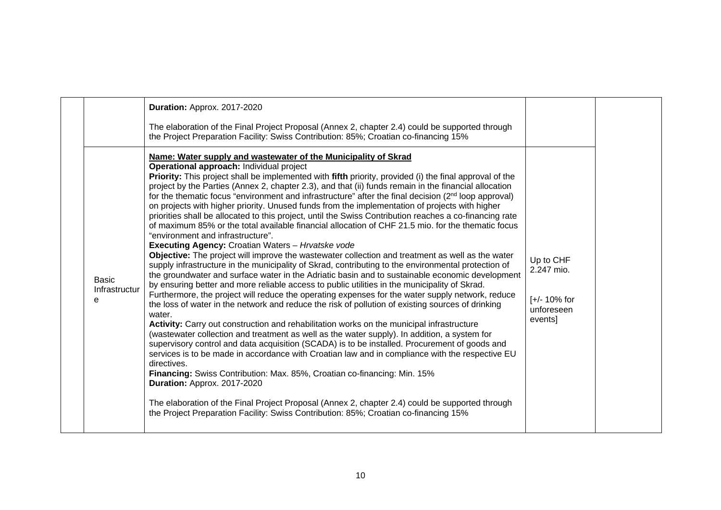|                                    | Duration: Approx. 2017-2020<br>The elaboration of the Final Project Proposal (Annex 2, chapter 2.4) could be supported through<br>the Project Preparation Facility: Swiss Contribution: 85%; Croatian co-financing 15%                                                                                                                                                                                                                                                                                                                                                                                                                                                                                                                                                                                                                                                                                                                                                                                                                                                                                                                                                                                                                                                                                                                                                                                                                                                                                                                                                                                                                                                                                                                                                                                                                                                                                                                                                                                                                                                                                                                                                                                               |                                                                     |  |
|------------------------------------|----------------------------------------------------------------------------------------------------------------------------------------------------------------------------------------------------------------------------------------------------------------------------------------------------------------------------------------------------------------------------------------------------------------------------------------------------------------------------------------------------------------------------------------------------------------------------------------------------------------------------------------------------------------------------------------------------------------------------------------------------------------------------------------------------------------------------------------------------------------------------------------------------------------------------------------------------------------------------------------------------------------------------------------------------------------------------------------------------------------------------------------------------------------------------------------------------------------------------------------------------------------------------------------------------------------------------------------------------------------------------------------------------------------------------------------------------------------------------------------------------------------------------------------------------------------------------------------------------------------------------------------------------------------------------------------------------------------------------------------------------------------------------------------------------------------------------------------------------------------------------------------------------------------------------------------------------------------------------------------------------------------------------------------------------------------------------------------------------------------------------------------------------------------------------------------------------------------------|---------------------------------------------------------------------|--|
| <b>Basic</b><br>Infrastructur<br>e | Name: Water supply and wastewater of the Municipality of Skrad<br>Operational approach: Individual project<br>Priority: This project shall be implemented with fifth priority, provided (i) the final approval of the<br>project by the Parties (Annex 2, chapter 2.3), and that (ii) funds remain in the financial allocation<br>for the thematic focus "environment and infrastructure" after the final decision $(2nd$ loop approval)<br>on projects with higher priority. Unused funds from the implementation of projects with higher<br>priorities shall be allocated to this project, until the Swiss Contribution reaches a co-financing rate<br>of maximum 85% or the total available financial allocation of CHF 21.5 mio. for the thematic focus<br>"environment and infrastructure".<br><b>Executing Agency: Croatian Waters - Hrvatske vode</b><br>Objective: The project will improve the wastewater collection and treatment as well as the water<br>supply infrastructure in the municipality of Skrad, contributing to the environmental protection of<br>the groundwater and surface water in the Adriatic basin and to sustainable economic development<br>by ensuring better and more reliable access to public utilities in the municipality of Skrad.<br>Furthermore, the project will reduce the operating expenses for the water supply network, reduce<br>the loss of water in the network and reduce the risk of pollution of existing sources of drinking<br>water.<br>Activity: Carry out construction and rehabilitation works on the municipal infrastructure<br>(wastewater collection and treatment as well as the water supply). In addition, a system for<br>supervisory control and data acquisition (SCADA) is to be installed. Procurement of goods and<br>services is to be made in accordance with Croatian law and in compliance with the respective EU<br>directives.<br>Financing: Swiss Contribution: Max. 85%, Croatian co-financing: Min. 15%<br>Duration: Approx. 2017-2020<br>The elaboration of the Final Project Proposal (Annex 2, chapter 2.4) could be supported through<br>the Project Preparation Facility: Swiss Contribution: 85%; Croatian co-financing 15% | Up to CHF<br>2.247 mio.<br>$[-/2 10\%$ for<br>unforeseen<br>events] |  |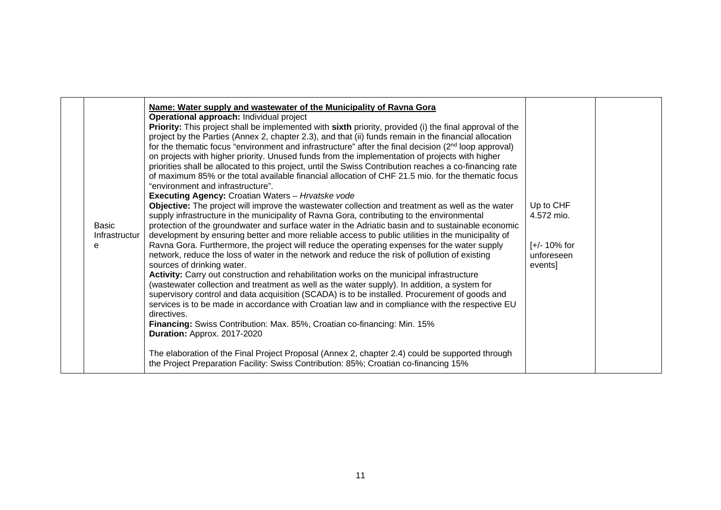| <b>Basic</b><br>Infrastructur<br>e | Name: Water supply and wastewater of the Municipality of Ravna Gora<br>Operational approach: Individual project<br><b>Priority:</b> This project shall be implemented with sixth priority, provided (i) the final approval of the<br>project by the Parties (Annex 2, chapter 2.3), and that (ii) funds remain in the financial allocation<br>for the thematic focus "environment and infrastructure" after the final decision (2 <sup>nd</sup> loop approval)<br>on projects with higher priority. Unused funds from the implementation of projects with higher<br>priorities shall be allocated to this project, until the Swiss Contribution reaches a co-financing rate<br>of maximum 85% or the total available financial allocation of CHF 21.5 mio. for the thematic focus<br>"environment and infrastructure".<br><b>Executing Agency: Croatian Waters - Hrvatske vode</b><br>Objective: The project will improve the wastewater collection and treatment as well as the water<br>supply infrastructure in the municipality of Ravna Gora, contributing to the environmental<br>protection of the groundwater and surface water in the Adriatic basin and to sustainable economic<br>development by ensuring better and more reliable access to public utilities in the municipality of<br>Ravna Gora. Furthermore, the project will reduce the operating expenses for the water supply<br>network, reduce the loss of water in the network and reduce the risk of pollution of existing<br>sources of drinking water.<br>Activity: Carry out construction and rehabilitation works on the municipal infrastructure<br>(wastewater collection and treatment as well as the water supply). In addition, a system for<br>supervisory control and data acquisition (SCADA) is to be installed. Procurement of goods and<br>services is to be made in accordance with Croatian law and in compliance with the respective EU<br>directives.<br>Financing: Swiss Contribution: Max. 85%, Croatian co-financing: Min. 15%<br>Duration: Approx. 2017-2020<br>The elaboration of the Final Project Proposal (Annex 2, chapter 2.4) could be supported through<br>the Project Preparation Facility: Swiss Contribution: 85%; Croatian co-financing 15% | Up to CHF<br>4.572 mio.<br>$[-/2 10\%$ for<br>unforeseen<br>events] |  |
|------------------------------------|------------------------------------------------------------------------------------------------------------------------------------------------------------------------------------------------------------------------------------------------------------------------------------------------------------------------------------------------------------------------------------------------------------------------------------------------------------------------------------------------------------------------------------------------------------------------------------------------------------------------------------------------------------------------------------------------------------------------------------------------------------------------------------------------------------------------------------------------------------------------------------------------------------------------------------------------------------------------------------------------------------------------------------------------------------------------------------------------------------------------------------------------------------------------------------------------------------------------------------------------------------------------------------------------------------------------------------------------------------------------------------------------------------------------------------------------------------------------------------------------------------------------------------------------------------------------------------------------------------------------------------------------------------------------------------------------------------------------------------------------------------------------------------------------------------------------------------------------------------------------------------------------------------------------------------------------------------------------------------------------------------------------------------------------------------------------------------------------------------------------------------------------------------------------------------------------------------------------------------------------------|---------------------------------------------------------------------|--|
|                                    |                                                                                                                                                                                                                                                                                                                                                                                                                                                                                                                                                                                                                                                                                                                                                                                                                                                                                                                                                                                                                                                                                                                                                                                                                                                                                                                                                                                                                                                                                                                                                                                                                                                                                                                                                                                                                                                                                                                                                                                                                                                                                                                                                                                                                                                      |                                                                     |  |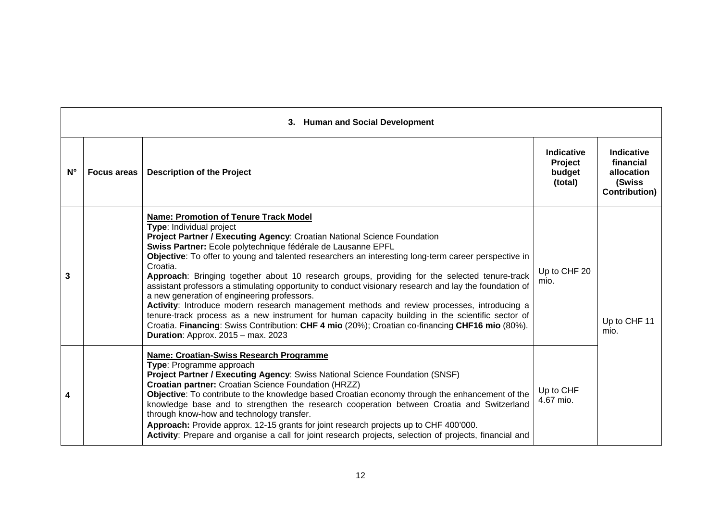|             | 3. Human and Social Development |                                                                                                                                                                                                                                                                                                                                                                                                                                                                                                                                                                                                                                                                                                                                                                                                                                                                                                                                               |                                            |                                                                          |  |  |
|-------------|---------------------------------|-----------------------------------------------------------------------------------------------------------------------------------------------------------------------------------------------------------------------------------------------------------------------------------------------------------------------------------------------------------------------------------------------------------------------------------------------------------------------------------------------------------------------------------------------------------------------------------------------------------------------------------------------------------------------------------------------------------------------------------------------------------------------------------------------------------------------------------------------------------------------------------------------------------------------------------------------|--------------------------------------------|--------------------------------------------------------------------------|--|--|
| $N^{\circ}$ | <b>Focus areas</b>              | <b>Description of the Project</b>                                                                                                                                                                                                                                                                                                                                                                                                                                                                                                                                                                                                                                                                                                                                                                                                                                                                                                             | Indicative<br>Project<br>budget<br>(total) | Indicative<br>financial<br>allocation<br>(Swiss<br><b>Contribution</b> ) |  |  |
| 3           |                                 | Name: Promotion of Tenure Track Model<br>Type: Individual project<br>Project Partner / Executing Agency: Croatian National Science Foundation<br>Swiss Partner: Ecole polytechnique fédérale de Lausanne EPFL<br>Objective: To offer to young and talented researchers an interesting long-term career perspective in<br>Croatia.<br>Approach: Bringing together about 10 research groups, providing for the selected tenure-track<br>assistant professors a stimulating opportunity to conduct visionary research and lay the foundation of<br>a new generation of engineering professors.<br>Activity: Introduce modern research management methods and review processes, introducing a<br>tenure-track process as a new instrument for human capacity building in the scientific sector of<br>Croatia. Financing: Swiss Contribution: CHF 4 mio (20%); Croatian co-financing CHF16 mio (80%).<br><b>Duration: Approx. 2015 - max. 2023</b> | Up to CHF 20<br>mio.                       | Up to CHF 11<br>mio.                                                     |  |  |
| 4           |                                 | Name: Croatian-Swiss Research Programme<br>Type: Programme approach<br>Project Partner / Executing Agency: Swiss National Science Foundation (SNSF)<br>Croatian partner: Croatian Science Foundation (HRZZ)<br>Objective: To contribute to the knowledge based Croatian economy through the enhancement of the<br>knowledge base and to strengthen the research cooperation between Croatia and Switzerland<br>through know-how and technology transfer.<br>Approach: Provide approx. 12-15 grants for joint research projects up to CHF 400'000.<br>Activity: Prepare and organise a call for joint research projects, selection of projects, financial and                                                                                                                                                                                                                                                                                  | Up to CHF<br>4.67 mio.                     |                                                                          |  |  |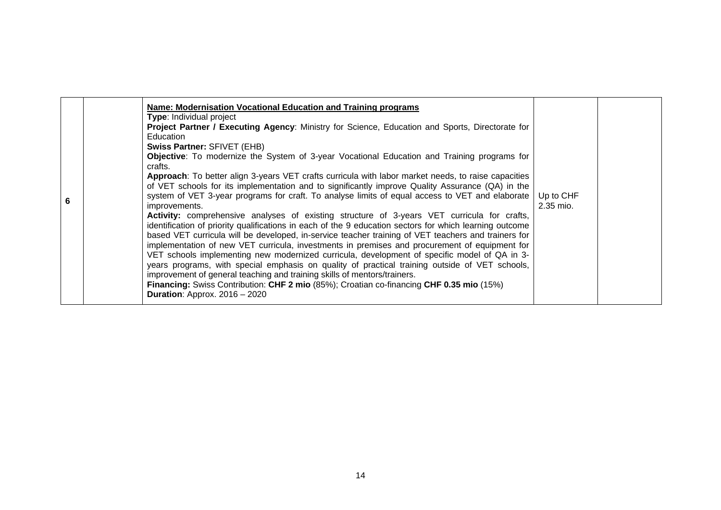| 6 | Name: Modernisation Vocational Education and Training programs<br><b>Type: Individual project</b><br><b>Project Partner / Executing Agency:</b> Ministry for Science, Education and Sports, Directorate for<br>Education<br><b>Swiss Partner: SFIVET (EHB)</b><br><b>Objective:</b> To modernize the System of 3-year Vocational Education and Training programs for<br>crafts.<br>Approach: To better align 3-years VET crafts curricula with labor market needs, to raise capacities<br>of VET schools for its implementation and to significantly improve Quality Assurance (QA) in the<br>system of VET 3-year programs for craft. To analyse limits of equal access to VET and elaborate<br>improvements.<br><b>Activity:</b> comprehensive analyses of existing structure of 3-years VET curricula for crafts,<br>identification of priority qualifications in each of the 9 education sectors for which learning outcome<br>based VET curricula will be developed, in-service teacher training of VET teachers and trainers for<br>implementation of new VET curricula, investments in premises and procurement of equipment for<br>VET schools implementing new modernized curricula, development of specific model of QA in 3- | Up to CHF<br>2.35 mio. |  |
|---|-----------------------------------------------------------------------------------------------------------------------------------------------------------------------------------------------------------------------------------------------------------------------------------------------------------------------------------------------------------------------------------------------------------------------------------------------------------------------------------------------------------------------------------------------------------------------------------------------------------------------------------------------------------------------------------------------------------------------------------------------------------------------------------------------------------------------------------------------------------------------------------------------------------------------------------------------------------------------------------------------------------------------------------------------------------------------------------------------------------------------------------------------------------------------------------------------------------------------------------------|------------------------|--|
|   | years programs, with special emphasis on quality of practical training outside of VET schools,<br>improvement of general teaching and training skills of mentors/trainers.<br>Financing: Swiss Contribution: CHF 2 mio (85%); Croatian co-financing CHF 0.35 mio (15%)<br><b>Duration: Approx. 2016 - 2020</b>                                                                                                                                                                                                                                                                                                                                                                                                                                                                                                                                                                                                                                                                                                                                                                                                                                                                                                                          |                        |  |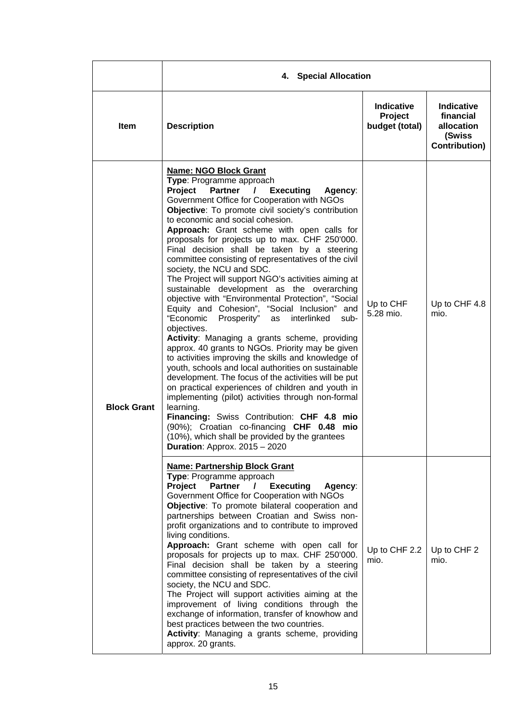|                    | 4. Special Allocation                                                                                                                                                                                                                                                                                                                                                                                                                                                                                                                                                                                                                                                                                                                                                                                                                                                                                                                                                                                                                                                                                                                                                                                                                                                                                                                                                                                   |                                                |                                                                                |  |
|--------------------|---------------------------------------------------------------------------------------------------------------------------------------------------------------------------------------------------------------------------------------------------------------------------------------------------------------------------------------------------------------------------------------------------------------------------------------------------------------------------------------------------------------------------------------------------------------------------------------------------------------------------------------------------------------------------------------------------------------------------------------------------------------------------------------------------------------------------------------------------------------------------------------------------------------------------------------------------------------------------------------------------------------------------------------------------------------------------------------------------------------------------------------------------------------------------------------------------------------------------------------------------------------------------------------------------------------------------------------------------------------------------------------------------------|------------------------------------------------|--------------------------------------------------------------------------------|--|
| <b>Item</b>        | <b>Description</b>                                                                                                                                                                                                                                                                                                                                                                                                                                                                                                                                                                                                                                                                                                                                                                                                                                                                                                                                                                                                                                                                                                                                                                                                                                                                                                                                                                                      | <b>Indicative</b><br>Project<br>budget (total) | <b>Indicative</b><br>financial<br>allocation<br>(Swiss<br><b>Contribution)</b> |  |
| <b>Block Grant</b> | <b>Name: NGO Block Grant</b><br>Type: Programme approach<br><b>Project</b><br><b>Partner</b><br><b>Executing</b><br>$\mathcal{L}$<br>Agency:<br>Government Office for Cooperation with NGOs<br>Objective: To promote civil society's contribution<br>to economic and social cohesion.<br>Approach: Grant scheme with open calls for<br>proposals for projects up to max. CHF 250'000.<br>Final decision shall be taken by a steering<br>committee consisting of representatives of the civil<br>society, the NCU and SDC.<br>The Project will support NGO's activities aiming at<br>sustainable development as the overarching<br>objective with "Environmental Protection", "Social<br>Equity and Cohesion", "Social Inclusion" and<br>"Economic<br>Prosperity"<br>interlinked<br>as<br>sub-<br>objectives.<br>Activity: Managing a grants scheme, providing<br>approx. 40 grants to NGOs. Priority may be given<br>to activities improving the skills and knowledge of<br>youth, schools and local authorities on sustainable<br>development. The focus of the activities will be put<br>on practical experiences of children and youth in<br>implementing (pilot) activities through non-formal<br>learning.<br>Financing: Swiss Contribution: CHF 4.8 mio<br>(90%); Croatian co-financing CHF 0.48 mio<br>(10%), which shall be provided by the grantees<br><b>Duration</b> : Approx. $2015 - 2020$ | Up to CHF<br>5.28 mio.                         | Up to CHF 4.8<br>mio.                                                          |  |
|                    | <b>Name: Partnership Block Grant</b><br>Type: Programme approach<br>Project<br><b>Partner</b><br><b>Executing</b><br>$\prime$<br>Agency:<br>Government Office for Cooperation with NGOs<br>Objective: To promote bilateral cooperation and<br>partnerships between Croatian and Swiss non-<br>profit organizations and to contribute to improved<br>living conditions.<br>Approach: Grant scheme with open call for<br>proposals for projects up to max. CHF 250'000.<br>Final decision shall be taken by a steering<br>committee consisting of representatives of the civil<br>society, the NCU and SDC.<br>The Project will support activities aiming at the<br>improvement of living conditions through the<br>exchange of information, transfer of knowhow and<br>best practices between the two countries.<br>Activity: Managing a grants scheme, providing<br>approx. 20 grants.                                                                                                                                                                                                                                                                                                                                                                                                                                                                                                                  | Up to CHF 2.2<br>mio.                          | Up to CHF 2<br>mio.                                                            |  |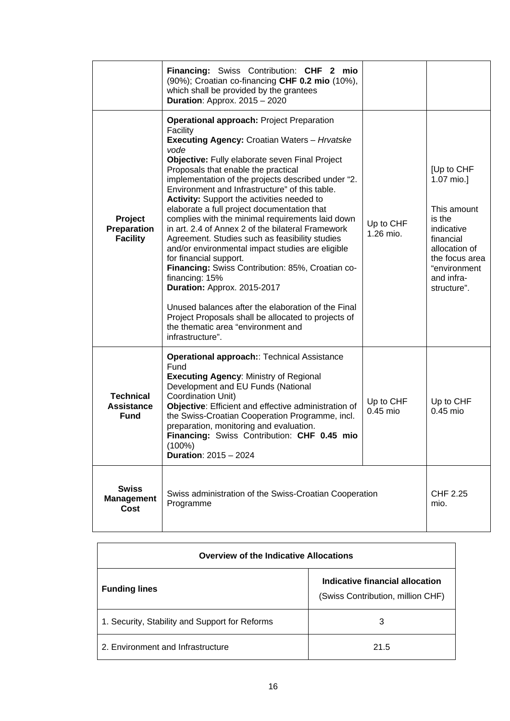|                                                      | Financing: Swiss Contribution: CHF 2 mio<br>(90%); Croatian co-financing CHF 0.2 mio (10%),<br>which shall be provided by the grantees<br><b>Duration: Approx. 2015 - 2020</b>                                                                                                                                                                                                                                                                                                                                                                                                                                                                                                                                                                                                                                                                                                                                                                        |                        |                                                                                                                                                              |
|------------------------------------------------------|-------------------------------------------------------------------------------------------------------------------------------------------------------------------------------------------------------------------------------------------------------------------------------------------------------------------------------------------------------------------------------------------------------------------------------------------------------------------------------------------------------------------------------------------------------------------------------------------------------------------------------------------------------------------------------------------------------------------------------------------------------------------------------------------------------------------------------------------------------------------------------------------------------------------------------------------------------|------------------------|--------------------------------------------------------------------------------------------------------------------------------------------------------------|
| Project<br>Preparation<br><b>Facility</b>            | <b>Operational approach: Project Preparation</b><br>Facility<br><b>Executing Agency: Croatian Waters - Hrvatske</b><br>vode<br>Objective: Fully elaborate seven Final Project<br>Proposals that enable the practical<br>implementation of the projects described under "2.<br>Environment and Infrastructure" of this table.<br><b>Activity:</b> Support the activities needed to<br>elaborate a full project documentation that<br>complies with the minimal requirements laid down<br>in art. 2.4 of Annex 2 of the bilateral Framework<br>Agreement. Studies such as feasibility studies<br>and/or environmental impact studies are eligible<br>for financial support.<br>Financing: Swiss Contribution: 85%, Croatian co-<br>financing: 15%<br>Duration: Approx. 2015-2017<br>Unused balances after the elaboration of the Final<br>Project Proposals shall be allocated to projects of<br>the thematic area "environment and<br>infrastructure". | Up to CHF<br>1.26 mio. | [Up to CHF<br>1.07 mio.]<br>This amount<br>is the<br>indicative<br>financial<br>allocation of<br>the focus area<br>"environment<br>and infra-<br>structure". |
| <b>Technical</b><br><b>Assistance</b><br><b>Fund</b> | <b>Operational approach:: Technical Assistance</b><br>Fund<br><b>Executing Agency: Ministry of Regional</b><br>Development and EU Funds (National<br>Coordination Unit)<br>Objective: Efficient and effective administration of<br>the Swiss-Croatian Cooperation Programme, incl.<br>preparation, monitoring and evaluation.<br>Financing: Swiss Contribution: CHF 0.45 mio<br>(100%)<br><b>Duration: 2015 - 2024</b>                                                                                                                                                                                                                                                                                                                                                                                                                                                                                                                                | Up to CHF<br>0.45 mio  | Up to CHF<br>0.45 mio                                                                                                                                        |
| <b>Swiss</b><br><b>Management</b><br>Cost            | Swiss administration of the Swiss-Croatian Cooperation<br>Programme                                                                                                                                                                                                                                                                                                                                                                                                                                                                                                                                                                                                                                                                                                                                                                                                                                                                                   |                        | CHF 2.25<br>mio.                                                                                                                                             |

| <b>Overview of the Indicative Allocations</b>  |                                                                      |
|------------------------------------------------|----------------------------------------------------------------------|
| <b>Funding lines</b>                           | Indicative financial allocation<br>(Swiss Contribution, million CHF) |
| 1. Security, Stability and Support for Reforms | 3                                                                    |
| 2. Environment and Infrastructure              | 21.5                                                                 |